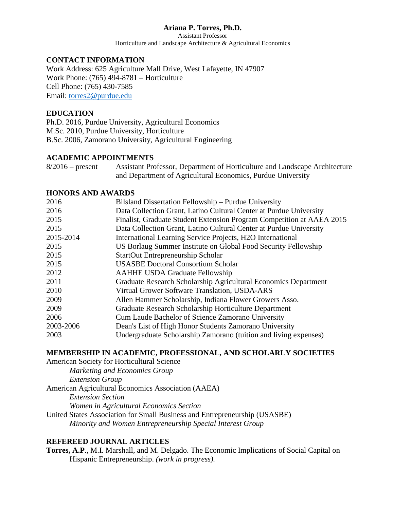## **Ariana P. Torres, Ph.D.**

Assistant Professor Horticulture and Landscape Architecture & Agricultural Economics

## **CONTACT INFORMATION**

Work Address: 625 Agriculture Mall Drive, West Lafayette, IN 47907 Work Phone: (765) 494-8781 – Horticulture Cell Phone: (765) 430-7585 Email: [torres2@purdue.edu](mailto:torres2@purdue.edu)

### **EDUCATION**

Ph.D. 2016, Purdue University, Agricultural Economics M.Sc. 2010, Purdue University, Horticulture B.Sc. 2006, Zamorano University, Agricultural Engineering

### **ACADEMIC APPOINTMENTS**

8/2016 – present Assistant Professor, Department of Horticulture and Landscape Architecture and Department of Agricultural Economics, Purdue University

#### **HONORS AND AWARDS**

| 2016      | Bilsland Dissertation Fellowship - Purdue University                  |
|-----------|-----------------------------------------------------------------------|
| 2016      | Data Collection Grant, Latino Cultural Center at Purdue University    |
| 2015      | Finalist, Graduate Student Extension Program Competition at AAEA 2015 |
| 2015      | Data Collection Grant, Latino Cultural Center at Purdue University    |
| 2015-2014 | International Learning Service Projects, H2O International            |
| 2015      | US Borlaug Summer Institute on Global Food Security Fellowship        |
| 2015      | <b>StartOut Entrepreneurship Scholar</b>                              |
| 2015      | <b>USASBE Doctoral Consortium Scholar</b>                             |
| 2012      | <b>AAHHE USDA Graduate Fellowship</b>                                 |
| 2011      | Graduate Research Scholarship Agricultural Economics Department       |
| 2010      | Virtual Grower Software Translation, USDA-ARS                         |
| 2009      | Allen Hammer Scholarship, Indiana Flower Growers Asso.                |
| 2009      | Graduate Research Scholarship Horticulture Department                 |
| 2006      | Cum Laude Bachelor of Science Zamorano University                     |
| 2003-2006 | Dean's List of High Honor Students Zamorano University                |
| 2003      | Undergraduate Scholarship Zamorano (tuition and living expenses)      |
|           |                                                                       |

### **MEMBERSHIP IN ACADEMIC, PROFESSIONAL, AND SCHOLARLY SOCIETIES**

American Society for Horticultural Science *Marketing and Economics Group Extension Group* American Agricultural Economics Association (AAEA) *Extension Section Women in Agricultural Economics Section* United States Association for Small Business and Entrepreneurship (USASBE) *Minority and Women Entrepreneurship Special Interest Group*

### **REFEREED JOURNAL ARTICLES**

**Torres, A.P**., M.I. Marshall, and M. Delgado. The Economic Implications of Social Capital on Hispanic Entrepreneurship. *(work in progress).*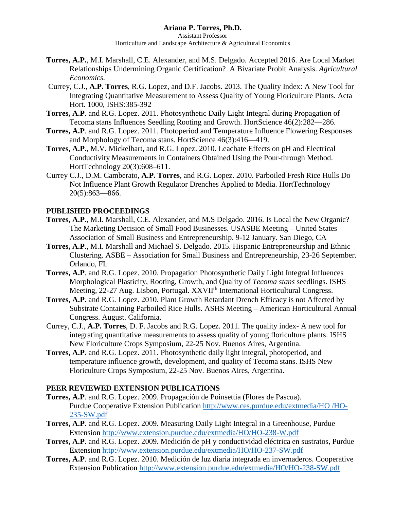## **Ariana P. Torres, Ph.D.**

Assistant Professor Horticulture and Landscape Architecture & Agricultural Economics

- **Torres, A.P.**, M.I. Marshall, C.E. Alexander, and M.S. Delgado. Accepted 2016. Are Local Market Relationships Undermining Organic Certification? A Bivariate Probit Analysis. *Agricultural Economics.*
- Currey, C.J., **A.P. Torres**, R.G. Lopez, and D.F. Jacobs. 2013. The Quality Index: A New Tool for Integrating Quantitative Measurement to Assess Quality of Young Floriculture Plants. Acta Hort. 1000, ISHS:385-392
- **Torres, A.P**. and R.G. Lopez. 2011. Photosynthetic Daily Light Integral during Propagation of Tecoma stans Influences Seedling Rooting and Growth. HortScience 46(2):282—286.
- **Torres, A.P**. and R.G. Lopez. 2011. Photoperiod and Temperature Influence Flowering Responses and Morphology of Tecoma stans. HortScience 46(3):416—419.
- **Torres, A.P**., M.V. Mickelbart, and R.G. Lopez. 2010. Leachate Effects on pH and Electrical Conductivity Measurements in Containers Obtained Using the Pour-through Method. HortTechnology 20(3):608–611.
- Currey C.J., D.M. Camberato, **A.P. Torres**, and R.G. Lopez. 2010. Parboiled Fresh Rice Hulls Do Not Influence Plant Growth Regulator Drenches Applied to Media. HortTechnology 20(5):863—866.

# **PUBLISHED PROCEEDINGS**

- **Torres, A.P**., M.I. Marshall, C.E. Alexander, and M.S Delgado. 2016. Is Local the New Organic? The Marketing Decision of Small Food Businesses. USASBE Meeting – United States Association of Small Business and Entrepreneurship. 9-12 January. San Diego, CA
- **Torres, A.P**., M.I. Marshall and Michael S. Delgado. 2015. Hispanic Entrepreneurship and Ethnic Clustering. ASBE – Association for Small Business and Entrepreneurship, 23-26 September. Orlando, FL
- **Torres, A.P**. and R.G. Lopez. 2010. Propagation Photosynthetic Daily Light Integral Influences Morphological Plasticity, Rooting, Growth, and Quality of *Tecoma stans* seedlings. ISHS Meeting, 22-27 Aug. Lisbon, Portugal. XXVII<sup>th</sup> International Horticultural Congress.
- **Torres, A.P.** and R.G. Lopez. 2010. Plant Growth Retardant Drench Efficacy is not Affected by Substrate Containing Parboiled Rice Hulls. ASHS Meeting – American Horticultural Annual Congress. August. California.
- Currey, C.J., **A.P. Torres**, D. F. Jacobs and R.G. Lopez. 2011. The quality index- A new tool for integrating quantitative measurements to assess quality of young floriculture plants. ISHS New Floriculture Crops Symposium, 22-25 Nov. Buenos Aires, Argentina.
- **Torres, A.P.** and R.G. Lopez. 2011. Photosynthetic daily light integral, photoperiod, and temperature influence growth, development, and quality of Tecoma stans. ISHS New Floriculture Crops Symposium, 22-25 Nov. Buenos Aires, Argentina.

### **PEER REVIEWED EXTENSION PUBLICATIONS**

- **Torres, A.P**. and R.G. Lopez. 2009. Propagación de Poinsettia (Flores de Pascua). Purdue Cooperative Extension Publication [http://www.ces.purdue.edu/extmedia/HO /HO-](http://www.ces.purdue.edu/extmedia/HO%20/HO-235-SW.pdf)[235-SW.pdf](http://www.ces.purdue.edu/extmedia/HO%20/HO-235-SW.pdf)
- **Torres, A.P**. and R.G. Lopez. 2009. Measuring Daily Light Integral in a Greenhouse, Purdue Extension<http://www.extension.purdue.edu/extmedia/HO/HO-238-W.pdf>
- **Torres, A.P**. and R.G. Lopez. 2009. Medición de pH y conductividad eléctrica en sustratos, Purdue Extension<http://www.extension.purdue.edu/extmedia/HO/HO-237-SW.pdf>
- **Torres, A.P**. and R.G. Lopez. 2010. Medición de luz diaria integrada en invernaderos. Cooperative Extension Publication<http://www.extension.purdue.edu/extmedia/HO/HO-238-SW.pdf>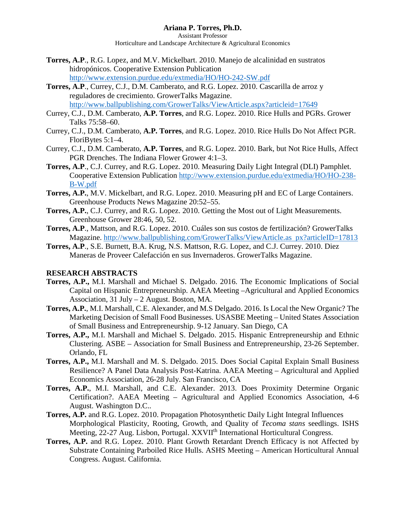Assistant Professor Horticulture and Landscape Architecture & Agricultural Economics

- **Torres, A.P**., R.G. Lopez, and M.V. Mickelbart. 2010. Manejo de alcalinidad en sustratos hidropónicos. Cooperative Extension Publication <http://www.extension.purdue.edu/extmedia/HO/HO-242-SW.pdf>
- **Torres, A.P**., Currey, C.J., D.M. Camberato, and R.G. Lopez. 2010. Cascarilla de arroz y reguladores de crecimiento. GrowerTalks Magazine. <http://www.ballpublishing.com/GrowerTalks/ViewArticle.aspx?articleid=17649>
- Currey, C.J., D.M. Camberato, **A.P. Torres**, and R.G. Lopez. 2010. Rice Hulls and PGRs. Grower Talks 75:58–60.
- Currey, C.J., D.M. Camberato, **A.P. Torres**, and R.G. Lopez. 2010. Rice Hulls Do Not Affect PGR. FloriBytes 5:1–4.
- Currey, C.J., D.M. Camberato, **A.P. Torres**, and R.G. Lopez. 2010. Bark, but Not Rice Hulls, Affect PGR Drenches. The Indiana Flower Grower 4:1–3.
- **Torres, A.P**., C.J. Currey, and R.G. Lopez. 2010. Measuring Daily Light Integral (DLI) Pamphlet. Cooperative Extension Publication [http://www.extension.purdue.edu/extmedia/HO/HO-238-](http://www.extension.purdue.edu/extmedia/HO/HO-238-B-W.pdf) [B-W.pdf](http://www.extension.purdue.edu/extmedia/HO/HO-238-B-W.pdf)
- **Torres, A.P.**, M.V. Mickelbart, and R.G. Lopez. 2010. Measuring pH and EC of Large Containers. Greenhouse Products News Magazine 20:52–55.
- **Torres, A.P.**, C.J. Currey, and R.G. Lopez. 2010. Getting the Most out of Light Measurements. Greenhouse Grower 28:46, 50, 52.
- **Torres, A.P**., Mattson, and R.G. Lopez. 2010. Cuáles son sus costos de fertilización? GrowerTalks Magazine. [http://www.ballpublishing.com/GrowerTalks/ViewArticle.as px?articleID=17813](http://www.ballpublishing.com/GrowerTalks/ViewArticle.as%20%20px?articleID=17813)
- **Torres, A.P**., S.E. Burnett, B.A. Krug, N.S. Mattson, R.G. Lopez, and C.J. Currey. 2010. Diez Maneras de Proveer Calefacción en sus Invernaderos. GrowerTalks Magazine.

### **RESEARCH ABSTRACTS**

- **Torres, A.P.,** M.I. Marshall and Michael S. Delgado. 2016. The Economic Implications of Social Capital on Hispanic Entrepreneurship. AAEA Meeting –Agricultural and Applied Economics Association, 31 July – 2 August. Boston, MA.
- **Torres, A.P.**, M.I. Marshall, C.E. Alexander, and M.S Delgado. 2016. Is Local the New Organic? The Marketing Decision of Small Food Businesses. USASBE Meeting – United States Association of Small Business and Entrepreneurship. 9-12 January. San Diego, CA
- **Torres, A.P.,** M.I. Marshall and Michael S. Delgado. 2015. Hispanic Entrepreneurship and Ethnic Clustering. ASBE – Association for Small Business and Entrepreneurship, 23-26 September. Orlando, FL
- **Torres, A.P.,** M.I. Marshall and M. S. Delgado. 2015. Does Social Capital Explain Small Business Resilience? A Panel Data Analysis Post-Katrina. AAEA Meeting – Agricultural and Applied Economics Association, 26-28 July. San Francisco, CA
- **Torres, A.P.**, M.I. Marshall, and C.E. Alexander. 2013. Does Proximity Determine Organic Certification?. AAEA Meeting – Agricultural and Applied Economics Association, 4-6 August. Washington D.C..
- **Torres, A.P.** and R.G. Lopez. 2010. Propagation Photosynthetic Daily Light Integral Influences Morphological Plasticity, Rooting, Growth, and Quality of *Tecoma stans* seedlings. ISHS Meeting, 22-27 Aug. Lisbon, Portugal. XXVII<sup>th</sup> International Horticultural Congress.
- **Torres, A.P.** and R.G. Lopez. 2010. Plant Growth Retardant Drench Efficacy is not Affected by Substrate Containing Parboiled Rice Hulls. ASHS Meeting – American Horticultural Annual Congress. August. California.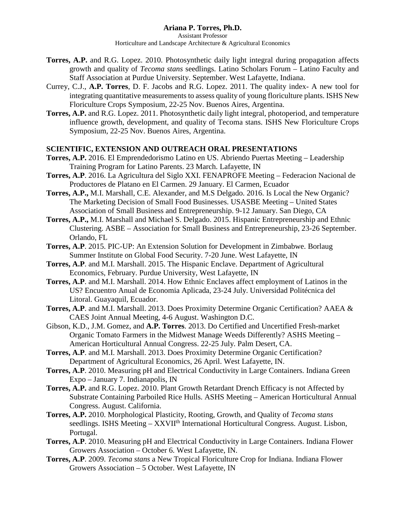- **Torres, A.P.** and R.G. Lopez. 2010. Photosynthetic daily light integral during propagation affects growth and quality of *Tecoma stans* seedlings. Latino Scholars Forum – Latino Faculty and Staff Association at Purdue University. September. West Lafayette, Indiana.
- Currey, C.J., **A.P. Torres**, D. F. Jacobs and R.G. Lopez. 2011. The quality index- A new tool for integrating quantitative measurements to assess quality of young floriculture plants. ISHS New Floriculture Crops Symposium, 22-25 Nov. Buenos Aires, Argentina.
- **Torres, A.P.** and R.G. Lopez. 2011. Photosynthetic daily light integral, photoperiod, and temperature influence growth, development, and quality of Tecoma stans. ISHS New Floriculture Crops Symposium, 22-25 Nov. Buenos Aires, Argentina.

## **SCIENTIFIC, EXTENSION AND OUTREACH ORAL PRESENTATIONS**

- **Torres, A.P.** 2016. El Emprendedorismo Latino en US. Abriendo Puertas Meeting Leadership Training Program for Latino Parents. 23 March. Lafayette, IN
- **Torres, A.P**. 2016. La Agricultura del Siglo XXI. FENAPROFE Meeting Federacion Nacional de Productores de Platano en El Carmen. 29 January. El Carmen, Ecuador
- **Torres, A.P.,** M.I. Marshall, C.E. Alexander, and M.S Delgado. 2016. Is Local the New Organic? The Marketing Decision of Small Food Businesses. USASBE Meeting – United States Association of Small Business and Entrepreneurship. 9-12 January. San Diego, CA
- **Torres, A.P.,** M.I. Marshall and Michael S. Delgado. 2015. Hispanic Entrepreneurship and Ethnic Clustering. ASBE – Association for Small Business and Entrepreneurship, 23-26 September. Orlando, FL
- **Torres, A.P**. 2015. PIC-UP: An Extension Solution for Development in Zimbabwe. Borlaug Summer Institute on Global Food Security. 7-20 June. West Lafayette, IN
- **Torres, A.P**. and M.I. Marshall. 2015. The Hispanic Enclave. Department of Agricultural Economics, February. Purdue University, West Lafayette, IN
- **Torres, A.P**. and M.I. Marshall. 2014. How Ethnic Enclaves affect employment of Latinos in the US? Encuentro Anual de Economia Aplicada, 23-24 July. Universidad Politécnica del Litoral. Guayaquil, Ecuador.
- **Torres, A.P**. and M.I. Marshall. 2013. Does Proximity Determine Organic Certification? AAEA & CAES Joint Annual Meeting, 4-6 August. Washington D.C.
- Gibson, K.D., J.M. Gomez, and **A.P. Torres**. 2013. Do Certified and Uncertified Fresh-market Organic Tomato Farmers in the Midwest Manage Weeds Differently? ASHS Meeting – American Horticultural Annual Congress. 22-25 July. Palm Desert, CA.
- **Torres, A.P**. and M.I. Marshall. 2013. Does Proximity Determine Organic Certification? Department of Agricultural Economics, 26 April. West Lafayette, IN.
- **Torres, A.P**. 2010. Measuring pH and Electrical Conductivity in Large Containers. Indiana Green Expo – January 7. Indianapolis, IN
- **Torres, A.P.** and R.G. Lopez. 2010. Plant Growth Retardant Drench Efficacy is not Affected by Substrate Containing Parboiled Rice Hulls. ASHS Meeting – American Horticultural Annual Congress. August. California.
- **Torres, A.P.** 2010. Morphological Plasticity, Rooting, Growth, and Quality of *Tecoma stans*  seedlings. ISHS Meeting – XXVII<sup>th</sup> International Horticultural Congress. August. Lisbon, Portugal.
- **Torres, A.P**. 2010. Measuring pH and Electrical Conductivity in Large Containers. Indiana Flower Growers Association – October 6. West Lafayette, IN.
- **Torres, A.P**. 2009. *Tecoma stans* a New Tropical Floriculture Crop for Indiana. Indiana Flower Growers Association – 5 October. West Lafayette, IN